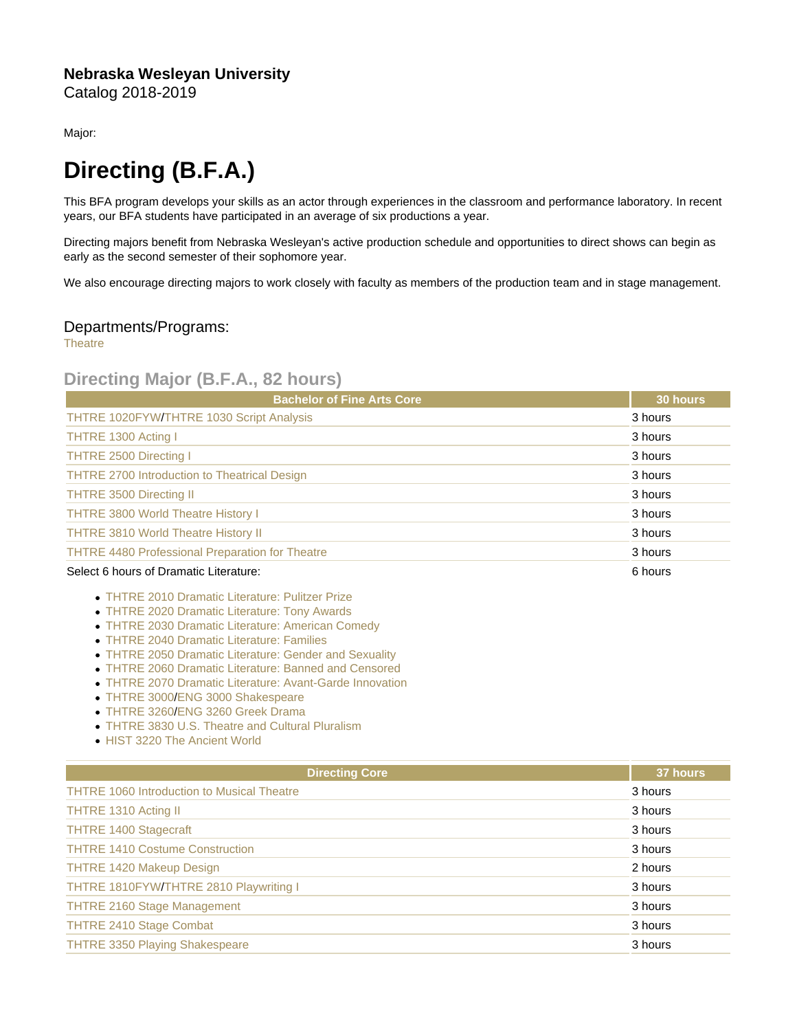## Nebraska Wesleyan University Catalog 2018-2019

Major:

## Directing (B.F.A.)

This BFA program develops your skills as an actor through experiences in the classroom and performance laboratory. In recent years, our BFA students have participated in an average of six productions a year.

Directing majors benefit from Nebraska Wesleyan's active production schedule and opportunities to direct shows can begin as early as the second semester of their sophomore year.

We also encourage directing majors to work closely with faculty as members of the production team and in stage management.

## Departments/Programs:

**[Theatre](https://catalog.nebrwesleyan.edu/cc/2018-2019/department/330868)** 

## Directing Major (B.F.A., 82 hours)

| <b>Bachelor of Fine Arts Core</b>                      | 30 hours |
|--------------------------------------------------------|----------|
| THTRE 1020FYW/THTRE 1030 Script Analysis               | 3 hours  |
| THTRE 1300 Acting I                                    | 3 hours  |
| <b>THTRE 2500 Directing I</b>                          | 3 hours  |
| <b>THTRE 2700 Introduction to Theatrical Design</b>    | 3 hours  |
| <b>THTRE 3500 Directing II</b>                         | 3 hours  |
| <b>THTRE 3800 World Theatre History I</b>              | 3 hours  |
| <b>THTRE 3810 World Theatre History II</b>             | 3 hours  |
| <b>THTRE 4480 Professional Preparation for Theatre</b> | 3 hours  |
| Select 6 hours of Dramatic Literature:                 | 6 hours  |

- [THTRE 2010 Dramatic Literature: Pulitzer Prize](https://catalog.nebrwesleyan.edu/cc/2021-2022/course/360631)
- [THTRE 2020 Dramatic Literature: Tony Awards](https://catalog.nebrwesleyan.edu/cc/2021-2022/course/362433)
- [THTRE 2030 Dramatic Literature: American Comedy](https://catalog.nebrwesleyan.edu/cc/2021-2022/course/362434)
- [THTRE 2040 Dramatic Literature: Families](https://catalog.nebrwesleyan.edu/cc/2021-2022/course/362435)
- [THTRE 2050 Dramatic Literature: Gender and Sexuality](https://catalog.nebrwesleyan.edu/cc/2021-2022/course/362436)
- [THTRE 2060 Dramatic Literature: Banned and Censored](https://catalog.nebrwesleyan.edu/cc/2021-2022/course/362437)
- [THTRE 2070 Dramatic Literature: Avant-Garde Innovation](https://catalog.nebrwesleyan.edu/cc/2021-2022/course/362987)
- [THTRE 3000](https://catalog.nebrwesleyan.edu/cc/2021-2022/course/360644)[/ENG 3000 Shakespeare](https://catalog.nebrwesleyan.edu/cc/2021-2022/course/360305)
- [THTRE 3260](https://catalog.nebrwesleyan.edu/cc/2021-2022/course/362568)[/ENG 3260 Greek Drama](https://catalog.nebrwesleyan.edu/cc/2021-2022/course/361756)
- [THTRE 3830 U.S. Theatre and Cultural Pluralism](https://catalog.nebrwesleyan.edu/cc/2021-2022/course/362843)
- [HIST 3220 The Ancient World](https://catalog.nebrwesleyan.edu/cc/2021-2022/course/360496)

| <b>Directing Core</b>                             | 37 hours |
|---------------------------------------------------|----------|
| <b>THTRE 1060 Introduction to Musical Theatre</b> | 3 hours  |
| THTRE 1310 Acting II                              | 3 hours  |
| <b>THTRE 1400 Stagecraft</b>                      | 3 hours  |
| <b>THTRE 1410 Costume Construction</b>            | 3 hours  |
| <b>THTRE 1420 Makeup Design</b>                   | 2 hours  |
| THTRE 1810FYW/THTRE 2810 Playwriting I            | 3 hours  |
| <b>THTRE 2160 Stage Management</b>                | 3 hours  |
| <b>THTRE 2410 Stage Combat</b>                    | 3 hours  |
| <b>THTRE 3350 Playing Shakespeare</b>             | 3 hours  |